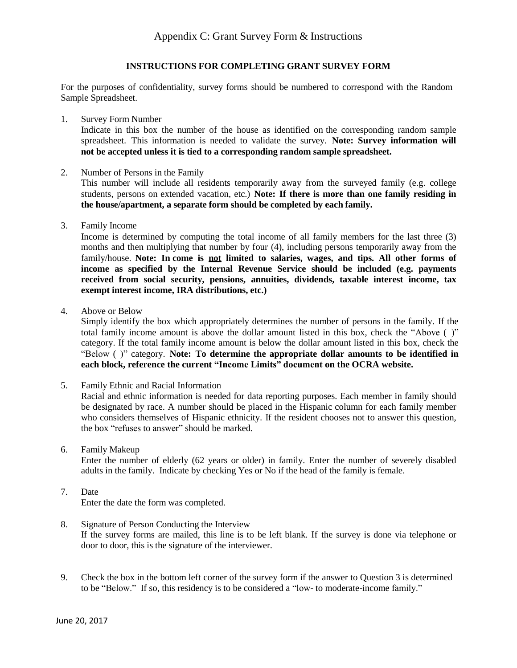## **INSTRUCTIONS FOR COMPLETING GRANT SURVEY FORM**

For the purposes of confidentiality, survey forms should be numbered to correspond with the Random Sample Spreadsheet.

1. Survey Form Number

Indicate in this box the number of the house as identified on the corresponding random sample spreadsheet. This information is needed to validate the survey. **Note: Survey information will not be accepted unless it is tied to a corresponding random sample spreadsheet.**

2. Number of Persons in the Family

This number will include all residents temporarily away from the surveyed family (e.g. college students, persons on extended vacation, etc.) **Note: If there is more than one family residing in the house/apartment, a separate form should be completed by each family.**

3. Family Income

Income is determined by computing the total income of all family members for the last three (3) months and then multiplying that number by four (4), including persons temporarily away from the family/house. **Note: In come is not limited to salaries, wages, and tips. All other forms of income as specified by the Internal Revenue Service should be included (e.g. payments received from social security, pensions, annuities, dividends, taxable interest income, tax exempt interest income, IRA distributions, etc.)**

4. Above or Below

Simply identify the box which appropriately determines the number of persons in the family. If the total family income amount is above the dollar amount listed in this box, check the "Above ( )" category. If the total family income amount is below the dollar amount listed in this box, check the "Below ( )" category. **Note: To determine the appropriate dollar amounts to be identified in each block, reference the current "Income Limits" document on the OCRA website.**

- 5. Family Ethnic and Racial Information Racial and ethnic information is needed for data reporting purposes. Each member in family should be designated by race. A number should be placed in the Hispanic column for each family member who considers themselves of Hispanic ethnicity. If the resident chooses not to answer this question, the box "refuses to answer" should be marked.
- 6. Family Makeup

Enter the number of elderly (62 years or older) in family. Enter the number of severely disabled adults in the family. Indicate by checking Yes or No if the head of the family is female.

- 7. Date Enter the date the form was completed.
- 8. Signature of Person Conducting the Interview If the survey forms are mailed, this line is to be left blank. If the survey is done via telephone or door to door, this is the signature of the interviewer.
- 9. Check the box in the bottom left corner of the survey form if the answer to Question 3 is determined to be "Below." If so, this residency is to be considered a "low- to moderate-income family."